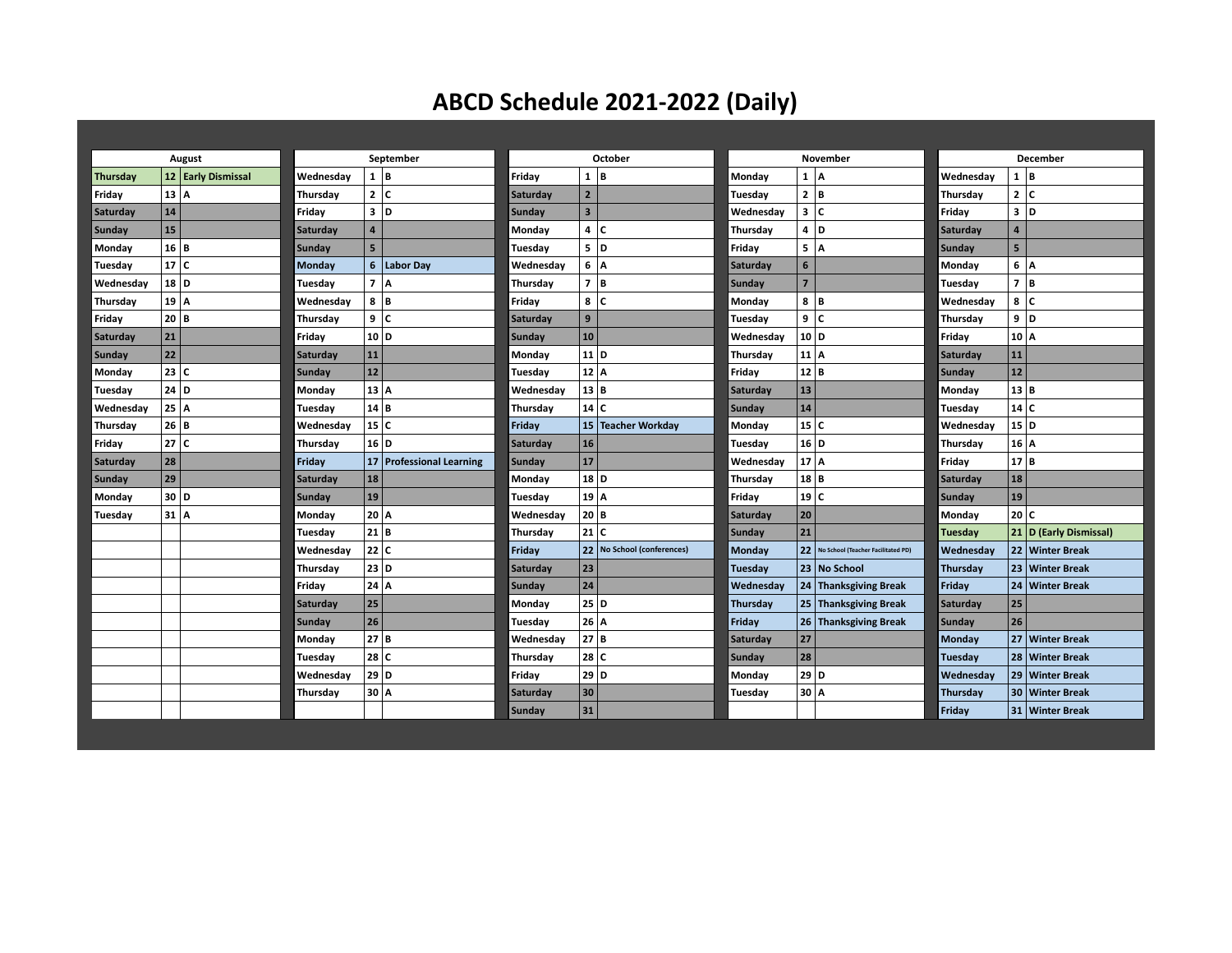## **ABCD Schedule 2021-2022 (Daily)**

| August    |      | September          |           | October        |                          | November        |                         | December                     |           |                |                                    |                |                |                        |
|-----------|------|--------------------|-----------|----------------|--------------------------|-----------------|-------------------------|------------------------------|-----------|----------------|------------------------------------|----------------|----------------|------------------------|
| Thursday  |      | 12 Early Dismissal | Wednesday | 1 B            |                          | Friday          | 1 B                     |                              | Monday    | 1 A            |                                    | Wednesday      | 1 B            |                        |
| Friday    | 13 A |                    | Thursdav  | 2 C            |                          | <b>Saturday</b> | $\overline{2}$          |                              | Tuesdav   | $\mathbf{2}$   | Iв                                 | Thursdav       | 2 C            |                        |
| Saturday  | 14   |                    | Friday    | 3 D            |                          | <b>Sunday</b>   | $\overline{\mathbf{3}}$ |                              | Wednesday | 3              | ١c                                 | Friday         | 3 D            |                        |
| Sunday    | 15   |                    | Saturday  | $\overline{4}$ |                          | Monday          | 4 IC                    |                              | Thursday  | 4              | l D                                | Saturday       | $\overline{4}$ |                        |
| Monday    | 16 B |                    | Sunday    | 5 <sup>1</sup> |                          | Tuesday         | 5 D                     |                              | Friday    | 5              | ١A                                 | <b>Sunday</b>  | 5              |                        |
| Tuesday   | 17 C |                    | Monday    |                | 6 Labor Day              | Wednesday       | 6   A                   |                              | Saturday  | 6              |                                    | Monday         | 6              | ١A                     |
| Wednesday | 18 D |                    | Tuesday   | 7 A            |                          | Thursday        | 7 B                     |                              | Sunday    | $\overline{7}$ |                                    | Tuesday        | 7 B            |                        |
| Thursday  | 19 A |                    | Wednesday | 8 B            |                          | Friday          | 8 IC                    |                              | Monday    | 8              | l B                                | Wednesday      | 8 C            |                        |
| Friday    | 20 B |                    | Thursday  | 9 C            |                          | Saturday        | 9                       |                              | Tuesday   | 9              | ١c                                 | Thursday       | 9 D            |                        |
| Saturday  | 21   |                    | Friday    | 10 D           |                          | Sunday          | 10                      |                              | Wednesday | 10 D           |                                    | Friday         | 10 A           |                        |
| Sunday    | 22   |                    | Saturday  | 11             |                          | Monday          | 11 D                    |                              | Thursday  | 11 A           |                                    | Saturday       | 11             |                        |
| Monday    | 23 C |                    | Sunday    | 12             |                          | Tuesday         | 12 A                    |                              | Friday    | 12 B           |                                    | <b>Sunday</b>  | 12             |                        |
| Tuesday   | 24 D |                    | Monday    | 13   A         |                          | Wednesday       | 13 B                    |                              | Saturday  | 13             |                                    | Monday         | 13 B           |                        |
| Wednesday | 25 A |                    | Tuesday   | 14 B           |                          | Thursday        | 14 C                    |                              | Sunday    | 14             |                                    | Tuesday        | 14C            |                        |
| Thursday  | 26 B |                    | Wednesday | 15 C           |                          | Friday          |                         | 15 Teacher Workday           | Monday    | 15 C           |                                    | Wednesday      | 15 D           |                        |
| Friday    | 27 C |                    | Thursday  | 16 D           |                          | Saturday        | 16                      |                              | Tuesday   | 16 D           |                                    | Thursday       | 16 A           |                        |
| Saturday  | 28   |                    | Friday    |                | 17 Professional Learning | Sunday          | 17                      |                              | Wednesday | $17$ A         |                                    | Friday         | 17 B           |                        |
| Sunday    | 29   |                    | Saturday  | 18             |                          | Monday          | 18 D                    |                              | Thursday  | $18$ B         |                                    | Saturday       | 18             |                        |
| Monday    | 30 D |                    | Sunday    | 19             |                          | Tuesday         | 19   A                  |                              | Friday    | 19 C           |                                    | Sunday         | 19             |                        |
| Tuesday   | 31 A |                    | Monday    | 20 A           |                          | Wednesday       | 20   B                  |                              | Saturday  | 20             |                                    | Monday         | 20 C           |                        |
|           |      |                    | Tuesday   | 21 B           |                          | Thursday        | 21 C                    |                              | Sunday    | 21             |                                    | <b>Tuesday</b> |                | 21 D (Early Dismissal) |
|           |      |                    | Wednesdav | 22 C           |                          | Friday          |                         | 22   No School (conferences) | Monday    | 22             | No School (Teacher Facilitated PD) | Wednesday      |                | 22 Winter Break        |
|           |      |                    | Thursday  | 23 D           |                          | Saturday        | $ 23\rangle$            |                              | Tuesday   |                | 23 No School                       | Thursday       |                | 23 Winter Break        |
|           |      |                    | Friday    | $24$ A         |                          | Sunday          | 24                      |                              | Wednesday |                | 24 Thanksgiving Break              | Friday         |                | 24   Winter Break      |
|           |      |                    | Saturday  | 25             |                          | Monday          | 25 D                    |                              | Thursday  |                | 25 Thanksgiving Break              | Saturday       | 25             |                        |
|           |      |                    | Sunday    | 26             |                          | Tuesdav         | 26   A                  |                              | Friday    | 26             | <b>Thanksgiving Break</b>          | Sunday         | 26             |                        |
|           |      |                    | Monday    | 27 B           |                          | Wednesday       | 27 B                    |                              | Saturday  | 27             |                                    | Monday         |                | 27   Winter Break      |
|           |      |                    | Tuesday   | 28 C           |                          | Thursday        | 28 C                    |                              | Sunday    | 28             |                                    | Tuesday        |                | 28 Winter Break        |
|           |      |                    | Wednesday | 29 D           |                          | Friday          | 29 D                    |                              | Monday    | 29 D           |                                    | Wednesday      |                | 29 Winter Break        |
|           |      |                    | Thursday  |                | 30 A                     | <b>Saturday</b> | 30                      |                              | Tuesday   | 30 A           |                                    | Thursday       |                | 30 Winter Break        |
|           |      |                    |           |                |                          | Sunday          | 31                      |                              |           |                |                                    | Fridav         |                | 31   Winter Break      |
|           |      |                    |           |                |                          |                 |                         |                              |           |                |                                    |                |                |                        |